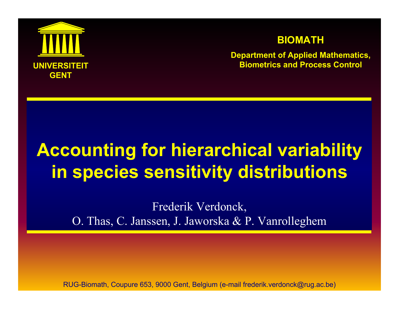

#### **BIOMATH**

**Department of Applied Mathematics, Biometrics and Process Control**

# **Accounting for hierarchical variability in species sensitivity distributions**

Frederik Verdonck, O. Thas, C. Janssen, J. Jaworska & P. Vanrolleghem

RUG-Biomath, Coupure 653, 9000 Gent, Belgium (e-mail frederik.verdonck@rug.ac.be)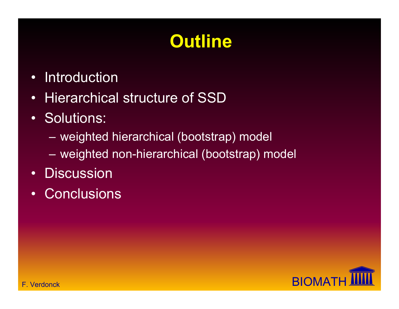# **Outline**

- •Introduction
- Hierarchical structure of SSD
- Solutions:
	- weighted hierarchical (bootstrap) model
	- weighted non-hierarchical (bootstrap) model
- Discussion
- •**Conclusions**

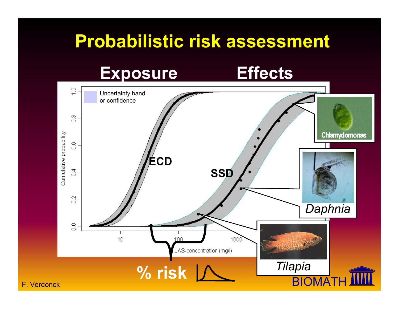#### **Probabilistic risk assessment**

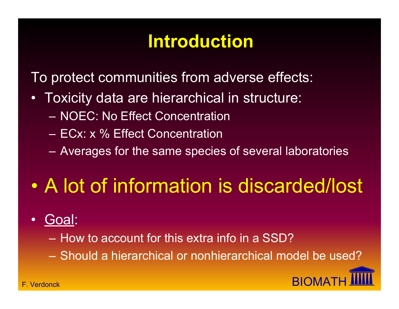## **Introduction**

To protect communities from adverse effects:

- Toxicity data are hierarchical in structure:
	- NOEC: No Effect Concentration
	- ECx: x % Effect Concentration
	- Averages for the same species of several laboratories

#### $\bullet$ A lot of information is discarded/lost

- Goal:
	- How to account for this extra info in a SSD?
	- Should a hierarchical or nonhierarchical model be used?

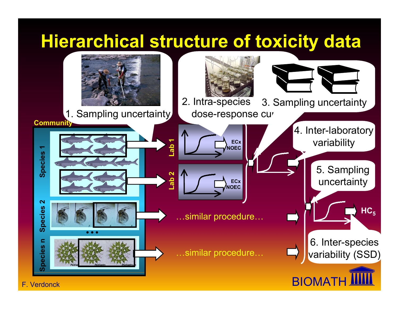## **Hierarchical structure of toxicity data**

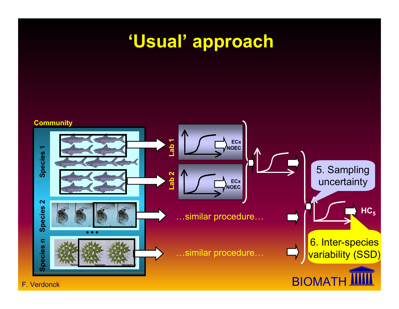#### **'Usual' approach**

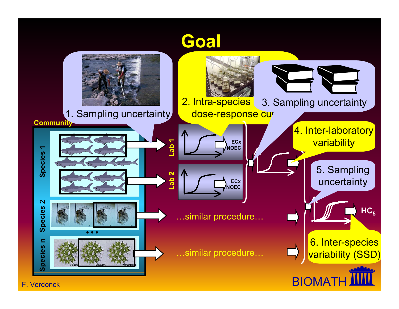#### **Goal**

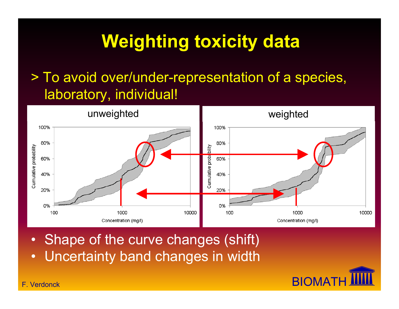# **Weighting toxicity data**

#### > To avoid over/under-representation of a species, laboratory, individual!



- Shape of the curve changes (shift)
- •Uncertainty band changes in width

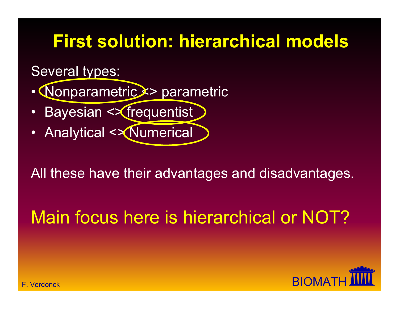## **First solution: hierarchical models**

Several types:

• Nonparametric <> parametric

- Bayesian <> frequentist
- Analytical <> Numerical

All these have their advantages and disadvantages.

## Main focus here is hierarchical or NOT?

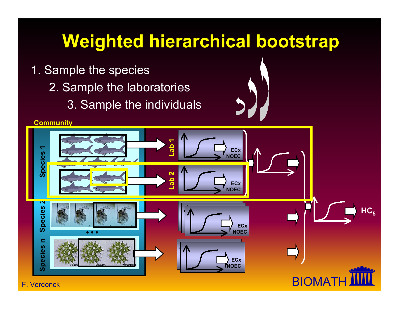## **Weighted hierarchical bootstrap**

- 1. Sample the species
	- 2. Sample the laboratories
		- 3. Sample the individuals



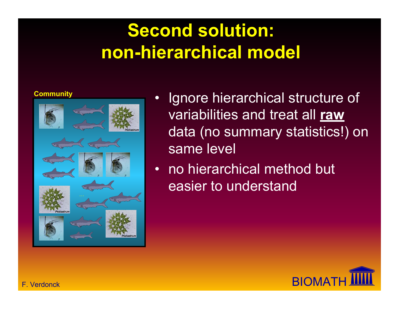# **Second solution: non-hierarchical model**

•



- Ignore hierarchical structure of variabilities and treat all **raw** data (no summary statistics!) on same level
- $\bullet$  no hierarchical method but easier to understand

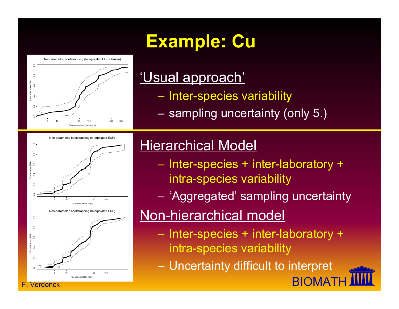# **Example: Cu**

Nonparametric bootstrapping (Interpolated EDF - Hazen)



#### 'Usual approach'

- Inter-species variability
- sampling uncertainty (only 5.)

Non-parametric bootstrapping (interpolated EDF)



Non-parametric bootstrapping (Interpolated EDF)



Verdonck

#### **Hierarchical Model**

- $\mathcal{L}_{\mathcal{A}}$  Inter-species + inter-laboratory + intra-species variability
- 'Aggregated' sampling uncertainty

#### Non-hierarchical model

- Inter-species + inter-laboratory + intra-species variability
- Uncertainty difficult to interpret

**BIOMAT**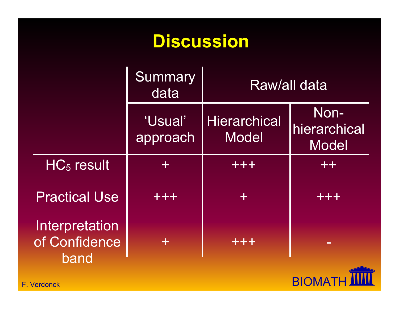### **Discussion**

|                                         | <b>Summary</b><br>data | Raw/all data                        |                                              |
|-----------------------------------------|------------------------|-------------------------------------|----------------------------------------------|
|                                         | 'Usual'<br>approach    | <b>Hierarchical</b><br><b>Model</b> | Non-<br><b>Ihierarchical</b><br><b>Model</b> |
| $HC5$ result                            | $\div$                 | +++                                 | $+ +$                                        |
| <b>Practical Use</b>                    | +++                    | ╈                                   | +++                                          |
| Interpretation<br>of Confidence<br>band | $\pm$                  | +++                                 | $\equiv$                                     |